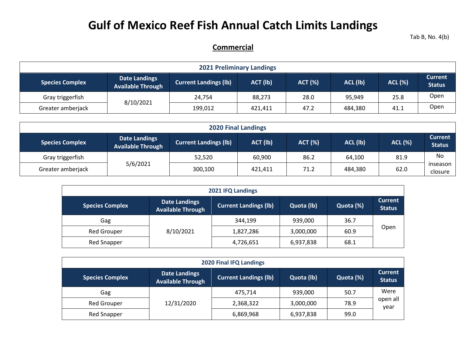## **Gulf of Mexico Reef Fish Annual Catch Limits Landings**

Tab B, No. 4(b)

## **Commercial**

| <b>2021 Preliminary Landings</b>                                                                                                                                                                          |           |         |         |      |         |      |      |  |  |  |
|-----------------------------------------------------------------------------------------------------------------------------------------------------------------------------------------------------------|-----------|---------|---------|------|---------|------|------|--|--|--|
| <b>Current</b><br><b>Date Landings</b><br><b>ACL (%)</b><br><b>Current Landings (Ib)</b><br>ACT (lb)<br>ACL (lb)<br><b>ACT (%)</b><br><b>Species Complex</b><br><b>Status</b><br><b>Available Through</b> |           |         |         |      |         |      |      |  |  |  |
| Gray triggerfish                                                                                                                                                                                          |           | 24.754  | 88,273  | 28.0 | 95,949  | 25.8 | Open |  |  |  |
| Greater amberjack                                                                                                                                                                                         | 8/10/2021 | 199,012 | 421,411 | 47.2 | 484,380 | 41.1 | Open |  |  |  |

| <b>2020 Final Landings</b>                                                                                                                                                                                |          |         |         |      |         |      |                     |  |  |  |
|-----------------------------------------------------------------------------------------------------------------------------------------------------------------------------------------------------------|----------|---------|---------|------|---------|------|---------------------|--|--|--|
| <b>Current</b><br><b>Date Landings</b><br>ACT (lb)<br>ACL (lb)<br><b>ACL (%)</b><br><b>Current Landings (lb)</b><br><b>ACT (%)</b><br><b>Species Complex</b><br><b>Status</b><br><b>Available Through</b> |          |         |         |      |         |      |                     |  |  |  |
| Gray triggerfish                                                                                                                                                                                          | 5/6/2021 | 52,520  | 60,900  | 86.2 | 64,100  | 81.9 | No                  |  |  |  |
| Greater amberjack                                                                                                                                                                                         |          | 300,100 | 421.411 | 71.2 | 484,380 | 62.0 | inseason<br>closure |  |  |  |

| 2021 IFQ Landings                                                                                                                                                        |           |           |           |      |      |  |  |  |  |  |
|--------------------------------------------------------------------------------------------------------------------------------------------------------------------------|-----------|-----------|-----------|------|------|--|--|--|--|--|
| <b>Current</b><br><b>Date Landings</b><br>Quota (lb)<br><b>Current Landings (lb)</b><br>Quota (%)<br><b>Species Complex</b><br><b>Status</b><br><b>Available Through</b> |           |           |           |      |      |  |  |  |  |  |
| Gag                                                                                                                                                                      |           | 344,199   | 939,000   | 36.7 |      |  |  |  |  |  |
| <b>Red Grouper</b>                                                                                                                                                       | 8/10/2021 | 1,827,286 | 3,000,000 | 60.9 | Open |  |  |  |  |  |
| Red Snapper                                                                                                                                                              |           | 4,726,651 | 6,937,838 | 68.1 |      |  |  |  |  |  |

| <b>2020 Final IFQ Landings</b> |                                                                                                             |           |           |      |                  |  |  |  |  |  |
|--------------------------------|-------------------------------------------------------------------------------------------------------------|-----------|-----------|------|------------------|--|--|--|--|--|
| <b>Species Complex</b>         | <b>Date Landings</b><br><b>Current Landings (lb)</b><br>Quota (%)<br>Quota (lb)<br><b>Available Through</b> |           |           |      |                  |  |  |  |  |  |
| Gag                            |                                                                                                             | 475,714   | 939,000   | 50.7 | Were             |  |  |  |  |  |
| Red Grouper                    | 12/31/2020                                                                                                  | 2,368,322 | 3,000,000 | 78.9 | open all<br>year |  |  |  |  |  |
| Red Snapper                    |                                                                                                             | 6,869,968 | 6,937,838 | 99.0 |                  |  |  |  |  |  |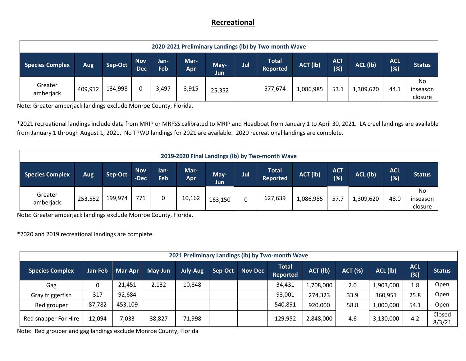## **Recreational**

|                      | 2020-2021 Preliminary Landings (Ib) by Two-month Wave |         |                    |             |             |              |     |                                 |           |                   |           |                    |                           |
|----------------------|-------------------------------------------------------|---------|--------------------|-------------|-------------|--------------|-----|---------------------------------|-----------|-------------------|-----------|--------------------|---------------------------|
| Species Complex      | Aug                                                   | Sep-Oct | <b>Nov</b><br>-Dec | Jan-<br>Feb | Mar-<br>Apr | May-<br>Jun. | Jul | <b>Total</b><br><b>Reported</b> | ACT (lb)  | <b>ACT</b><br>(%) | ACL (lb)  | <b>ACL</b><br>(% ) | <b>Status</b>             |
| Greater<br>amberjack | 409,912                                               | 134,998 |                    | 3,497       | 3,915       | 25,352       |     | 577,674                         | 1,086,985 | 53.1              | L,309,620 | 44.1               | No<br>inseason<br>closure |

Note: Greater amberjack landings exclude Monroe County, Florida.

\*2021 recreational landings include data from MRIP or MRFSS calibrated to MRIP and Headboat from January 1 to April 30, 2021. LA creel landings are available from January 1 through August 1, 2021. No TPWD landings for 2021 are available. 2020 recreational landings are complete.

| 2019-2020 Final Landings (lb) by Two-month Wave |         |         |                    |             |             |              |     |                                 |           |                   |           |                   |                           |
|-------------------------------------------------|---------|---------|--------------------|-------------|-------------|--------------|-----|---------------------------------|-----------|-------------------|-----------|-------------------|---------------------------|
| <b>Species Complex</b>                          | Aug     | Sep-Oct | <b>Nov</b><br>-Dec | Jan-<br>Feb | Mar-<br>Apr | May-<br>Jun. | Jul | <b>Total</b><br><b>Reported</b> | ACT (lb)  | <b>ACT</b><br>(%) | ACL (lb)  | <b>ACL</b><br>(%) | <b>Status</b>             |
| Greater<br>amberjack                            | 253,582 | 199,974 | 771                | 0           | 10,162      | 163,150      | 0   | 627,639                         | 1,086,985 | 57.7              | 1,309,620 | 48.0              | No<br>inseason<br>closure |

Note: Greater amberjack landings exclude Monroe County, Florida.

\*2020 and 2019 recreational landings are complete.

|                        | 2021 Preliminary Landings (Ib) by Two-month Wave |         |         |          |         |                |                                 |           |                |           |                   |                  |
|------------------------|--------------------------------------------------|---------|---------|----------|---------|----------------|---------------------------------|-----------|----------------|-----------|-------------------|------------------|
| <b>Species Complex</b> | Jan-Feb                                          | Mar-Apr | May-Jun | July-Aug | Sep-Oct | <b>Nov-Dec</b> | <b>Total</b><br><b>Reported</b> | ACT (lb)  | <b>ACT (%)</b> | ACL (lb)  | <b>ACL</b><br>(%) | <b>Status</b>    |
| Gag                    | 0                                                | 21,451  | 2,132   | 10,848   |         |                | 34,431                          | L,708,000 | 2.0            | 1,903,000 | 1.8               | Open             |
| Gray triggerfish       | 317                                              | 92,684  |         |          |         |                | 93,001                          | 274,323   | 33.9           | 360,951   | 25.8              | Open             |
| Red grouper            | 87,782                                           | 453,109 |         |          |         |                | 540,891                         | 920,000   | 58.8           | 1,000,000 | 54.1              | Open             |
| Red snapper For Hire   | 12,094                                           | 7,033   | 38,827  | 71,998   |         |                | 129,952                         | 2,848,000 | 4.6            | 3,130,000 | 4.2               | Closed<br>8/3/21 |

Note: Red grouper and gag landings exclude Monroe County, Florida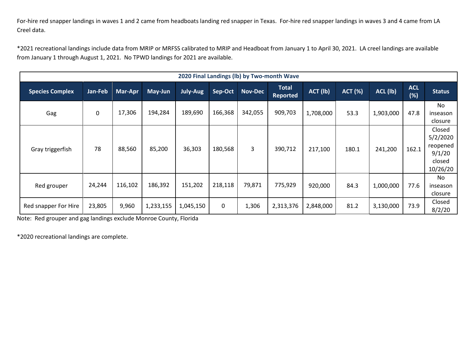For-hire red snapper landings in waves 1 and 2 came from headboats landing red snapper in Texas. For-hire red snapper landings in waves 3 and 4 came from LA Creel data.

\*2021 recreational landings include data from MRIP or MRFSS calibrated to MRIP and Headboat from January 1 to April 30, 2021. LA creel landings are available from January 1 through August 1, 2021. No TPWD landings for 2021 are available.

|                        |             |                |           |           |         |                | 2020 Final Landings (Ib) by Two-month Wave |           |                |           |                   |                                                                |
|------------------------|-------------|----------------|-----------|-----------|---------|----------------|--------------------------------------------|-----------|----------------|-----------|-------------------|----------------------------------------------------------------|
| <b>Species Complex</b> | Jan-Feb     | <b>Mar-Apr</b> | May-Jun   | July-Aug  | Sep-Oct | <b>Nov-Dec</b> | <b>Total</b><br><b>Reported</b>            | ACT (lb)  | <b>ACT (%)</b> | ACL (lb)  | <b>ACL</b><br>(%) | <b>Status</b>                                                  |
| Gag                    | $\mathbf 0$ | 17,306         | 194,284   | 189,690   | 166,368 | 342,055        | 909,703                                    | 1,708,000 | 53.3           | 1,903,000 | 47.8              | No.<br>inseason<br>closure                                     |
| Gray triggerfish       | 78          | 88,560         | 85,200    | 36,303    | 180,568 | 3              | 390,712                                    | 217,100   | 180.1          | 241,200   | 162.1             | Closed<br>5/2/2020<br>reopened<br>9/1/20<br>closed<br>10/26/20 |
| Red grouper            | 24,244      | 116,102        | 186,392   | 151,202   | 218,118 | 79,871         | 775,929                                    | 920,000   | 84.3           | 1,000,000 | 77.6              | No<br>inseason<br>closure                                      |
| Red snapper For Hire   | 23,805      | 9,960          | 1,233,155 | 1,045,150 | 0       | 1,306          | 2,313,376                                  | 2,848,000 | 81.2           | 3,130,000 | 73.9              | Closed<br>8/2/20                                               |

Note: Red grouper and gag landings exclude Monroe County, Florida

\*2020 recreational landings are complete.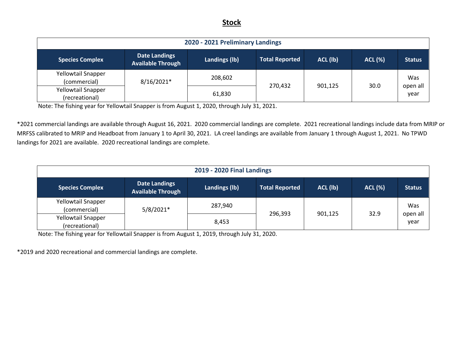## **Stock**

| 2020 - 2021 Preliminary Landings            |                                                  |               |                       |          |                |                  |  |  |  |
|---------------------------------------------|--------------------------------------------------|---------------|-----------------------|----------|----------------|------------------|--|--|--|
| <b>Species Complex</b>                      | <b>Date Landings</b><br><b>Available Through</b> | Landings (lb) | <b>Total Reported</b> | ACL (lb) | <b>ACL (%)</b> | <b>Status</b>    |  |  |  |
| Yellowtail Snapper<br>(commercial)          | 8/16/2021*                                       | 208,602       | 270,432               | 901,125  | 30.0           | Was              |  |  |  |
| <b>Yellowtail Snapper</b><br>(recreational) |                                                  | 61,830        |                       |          |                | open all<br>year |  |  |  |

Note: The fishing year for Yellowtail Snapper is from August 1, 2020, through July 31, 2021.

\*2021 commercial landings are available through August 16, 2021. 2020 commercial landings are complete. 2021 recreational landings include data from MRIP or MRFSS calibrated to MRIP and Headboat from January 1 to April 30, 2021. LA creel landings are available from January 1 through August 1, 2021. No TPWD landings for 2021 are available. 2020 recreational landings are complete.

| <b>2019 - 2020 Final Landings</b>           |                                                  |               |                       |          |                |                  |  |  |  |  |
|---------------------------------------------|--------------------------------------------------|---------------|-----------------------|----------|----------------|------------------|--|--|--|--|
| <b>Species Complex</b>                      | <b>Date Landings</b><br><b>Available Through</b> | Landings (lb) | <b>Total Reported</b> | ACL (lb) | <b>ACL (%)</b> | <b>Status</b>    |  |  |  |  |
| <b>Yellowtail Snapper</b><br>(commercial)   | $5/8/2021*$                                      | 287,940       |                       |          |                | Was              |  |  |  |  |
| <b>Yellowtail Snapper</b><br>(recreational) |                                                  | 8,453         | 296,393               | 901,125  | 32.9           | open all<br>year |  |  |  |  |

Note: The fishing year for Yellowtail Snapper is from August 1, 2019, through July 31, 2020.

\*2019 and 2020 recreational and commercial landings are complete.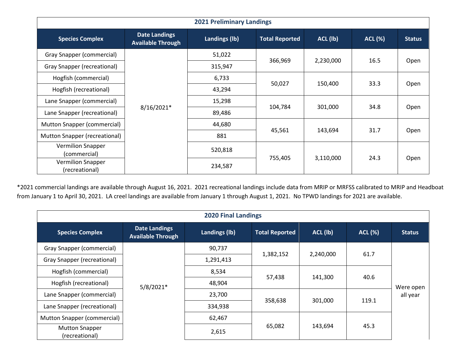|                                            |                                                  | <b>2021 Preliminary Landings</b> |                       |           |                |               |
|--------------------------------------------|--------------------------------------------------|----------------------------------|-----------------------|-----------|----------------|---------------|
| <b>Species Complex</b>                     | <b>Date Landings</b><br><b>Available Through</b> | Landings (lb)                    | <b>Total Reported</b> | ACL (lb)  | <b>ACL (%)</b> | <b>Status</b> |
| Gray Snapper (commercial)                  |                                                  | 51,022                           |                       |           |                |               |
| Gray Snapper (recreational)                |                                                  | 315,947                          | 366,969               | 2,230,000 | 16.5           | Open          |
| Hogfish (commercial)                       |                                                  | 6,733                            |                       |           |                |               |
| Hogfish (recreational)                     |                                                  | 43,294                           | 50,027                | 150,400   | 33.3           | Open          |
| Lane Snapper (commercial)                  |                                                  | 15,298                           |                       | 301,000   | 34.8           |               |
| Lane Snapper (recreational)                | 8/16/2021*                                       | 89,486                           | 104,784               |           |                | Open          |
| Mutton Snapper (commercial)                |                                                  | 44,680                           |                       |           |                |               |
| Mutton Snapper (recreational)              |                                                  | 881                              | 45,561                | 143,694   | 31.7           | Open          |
| <b>Vermilion Snapper</b><br>(commercial)   |                                                  | 520,818                          |                       |           |                |               |
| <b>Vermilion Snapper</b><br>(recreational) |                                                  | 234,587                          | 755,405               | 3,110,000 | 24.3           | Open          |

\*2021 commercial landings are available through August 16, 2021. 2021 recreational landings include data from MRIP or MRFSS calibrated to MRIP and Headboat from January 1 to April 30, 2021. LA creel landings are available from January 1 through August 1, 2021. No TPWD landings for 2021 are available.

|                                         | <b>2020 Final Landings</b>                       |               |                       |           |                |                       |  |  |  |  |  |
|-----------------------------------------|--------------------------------------------------|---------------|-----------------------|-----------|----------------|-----------------------|--|--|--|--|--|
| <b>Species Complex</b>                  | <b>Date Landings</b><br><b>Available Through</b> | Landings (lb) | <b>Total Reported</b> | ACL (lb)  | <b>ACL (%)</b> | <b>Status</b>         |  |  |  |  |  |
| Gray Snapper (commercial)               |                                                  | 90,737        |                       | 2,240,000 | 61.7           |                       |  |  |  |  |  |
| <b>Gray Snapper (recreational)</b>      |                                                  | 1,291,413     | 1,382,152             |           |                |                       |  |  |  |  |  |
| Hogfish (commercial)                    |                                                  | 8,534         | 57,438                | 141,300   | 40.6           |                       |  |  |  |  |  |
| Hogfish (recreational)                  | $5/8/2021*$                                      | 48,904        |                       |           |                | Were open<br>all year |  |  |  |  |  |
| Lane Snapper (commercial)               |                                                  | 23,700        |                       |           |                |                       |  |  |  |  |  |
| Lane Snapper (recreational)             |                                                  | 334,938       | 358,638               | 301,000   | 119.1          |                       |  |  |  |  |  |
| Mutton Snapper (commercial)             |                                                  | 62,467        |                       |           |                |                       |  |  |  |  |  |
| <b>Mutton Snapper</b><br>(recreational) |                                                  | 2,615         | 65,082                | 143,694   | 45.3           |                       |  |  |  |  |  |